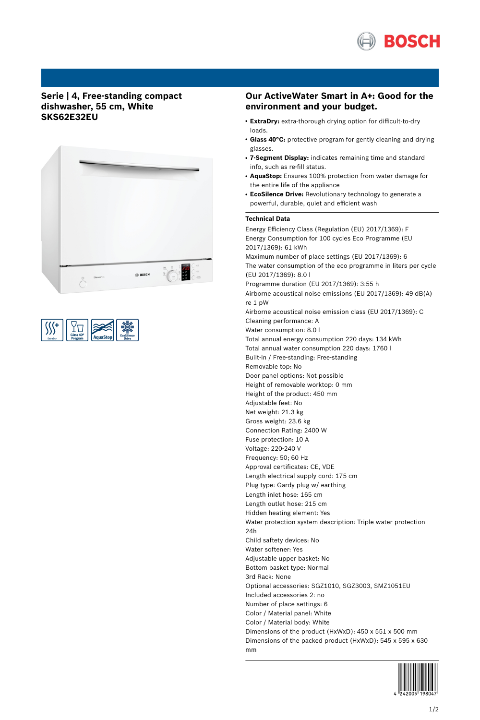

# **Serie | 4, Free-standing compact dishwasher, 55 cm, White SKS62E32EU**



| Glass 40°<br>Program<br>ExtraDrv |  | <b>EcoSilence</b><br><b>Drive</b> |
|----------------------------------|--|-----------------------------------|
|----------------------------------|--|-----------------------------------|

## **Our ActiveWater Smart in A+: Good for the environment and your budget.**

- **ExtraDry:** extra-thorough drying option for difficult-to-dry loads.
- Glass 40°C: protective program for gently cleaning and drying glasses.
- **7-Segment Display:** indicates remaining time and standard info, such as re-fill status.
- AquaStop: Ensures 100% protection from water damage for the entire life of the appliance
- **EcoSilence Drive:** Revolutionary technology to generate a powerful, durable, quiet and efficient wash

## **Technical Data**

Energy Efficiency Class (Regulation (EU) 2017/1369): F Energy Consumption for 100 cycles Eco Programme (EU 2017/1369): 61 kWh Maximum number of place settings (EU 2017/1369): 6 The water consumption of the eco programme in liters per cycle (EU 2017/1369): 8.0 l Programme duration (EU 2017/1369): 3:55 h Airborne acoustical noise emissions (EU 2017/1369): 49 dB(A) re 1 pW Airborne acoustical noise emission class (EU 2017/1369): C Cleaning performance: A Water consumption: 8.0 l Total annual energy consumption 220 days: 134 kWh Total annual water consumption 220 days: 1760 l Built-in / Free-standing: Free-standing Removable top: No Door panel options: Not possible Height of removable worktop: 0 mm Height of the product: 450 mm Adjustable feet: No Net weight: 21.3 kg Gross weight: 23.6 kg Connection Rating: 2400 W Fuse protection: 10 A Voltage: 220-240 V Frequency: 50; 60 Hz Approval certificates: CE, VDE Length electrical supply cord: 175 cm Plug type: Gardy plug w/ earthing Length inlet hose: 165 cm Length outlet hose: 215 cm Hidden heating element: Yes Water protection system description: Triple water protection 24h Child saftety devices: No Water softener: Yes Adjustable upper basket: No Bottom basket type: Normal 3rd Rack: None Optional accessories: SGZ1010, SGZ3003, SMZ1051EU Included accessories 2: no Number of place settings: 6 Color / Material panel: White Color / Material body: White Dimensions of the product (HxWxD): 450 x 551 x 500 mm Dimensions of the packed product (HxWxD): 545 x 595 x 630 mm